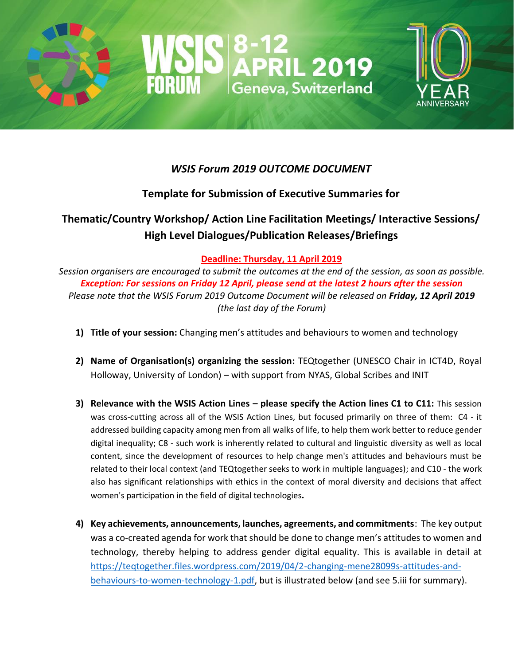



# *WSIS Forum 2019 OUTCOME DOCUMENT*

# **Template for Submission of Executive Summaries for**

# **Thematic/Country Workshop/ Action Line Facilitation Meetings/ Interactive Sessions/ High Level Dialogues/Publication Releases/Briefings**

## **Deadline: Thursday, 11 April 2019**

*Session organisers are encouraged to submit the outcomes at the end of the session, as soon as possible. Exception: For sessions on Friday 12 April, please send at the latest 2 hours after the session Please note that the WSIS Forum 2019 Outcome Document will be released on Friday, 12 April 2019 (the last day of the Forum)*

- **1) Title of your session:** Changing men's attitudes and behaviours to women and technology
- **2) Name of Organisation(s) organizing the session:** TEQtogether (UNESCO Chair in ICT4D, Royal Holloway, University of London) – with support from NYAS, Global Scribes and INIT
- **3) Relevance with the WSIS Action Lines – please specify the Action lines C1 to C11:** This session was cross-cutting across all of the WSIS Action Lines, but focused primarily on three of them: C4 - it addressed building capacity among men from all walks of life, to help them work better to reduce gender digital inequality; C8 - such work is inherently related to cultural and linguistic diversity as well as local content, since the development of resources to help change men's attitudes and behaviours must be related to their local context (and TEQtogether seeks to work in multiple languages); and C10 - the work also has significant relationships with ethics in the context of moral diversity and decisions that affect women's participation in the field of digital technologies**.**
- **4) Key achievements, announcements, launches, agreements, and commitments**: The key output was a co-created agenda for work that should be done to change men's attitudes to women and technology, thereby helping to address gender digital equality. This is available in detail at [https://teqtogether.files.wordpress.com/2019/04/2-changing-mene28099s-attitudes-and](https://teqtogether.files.wordpress.com/2019/04/2-changing-mene28099s-attitudes-and-behaviours-to-women-technology-1.pdf)[behaviours-to-women-technology-1.pdf,](https://teqtogether.files.wordpress.com/2019/04/2-changing-mene28099s-attitudes-and-behaviours-to-women-technology-1.pdf) but is illustrated below (and see 5.iii for summary).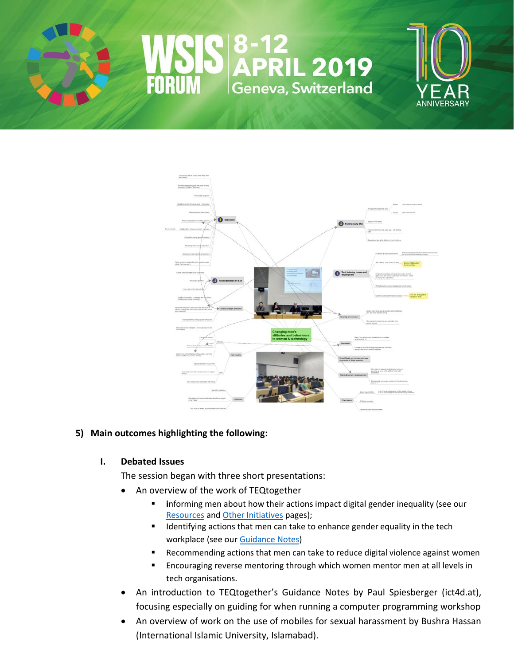



### **5) Main outcomes highlighting the following:**

#### **I. Debated Issues**

The session began with three short presentations:

- An overview of the work of TEQtogether
	- **E** informing men about how their actions impact digital gender inequality (see our [Resources](https://teqtogether.wordpress.com/resources/) and [Other Initiatives](https://teqtogether.wordpress.com/initiatives/) pages);
	- Identifying actions that men can take to enhance gender equality in the tech workplace (see ou[r Guidance Notes\)](https://teqtogether.wordpress.com/our-guidance-notes/)
	- Recommending actions that men can take to reduce digital violence against women
	- Encouraging reverse mentoring through which women mentor men at all levels in tech organisations.
- An introduction to TEQtogether's Guidance Notes by Paul Spiesberger (ict4d.at), focusing especially on guiding for when running a computer programming workshop
- An overview of work on the use of mobiles for sexual harassment by Bushra Hassan (International Islamic University, Islamabad).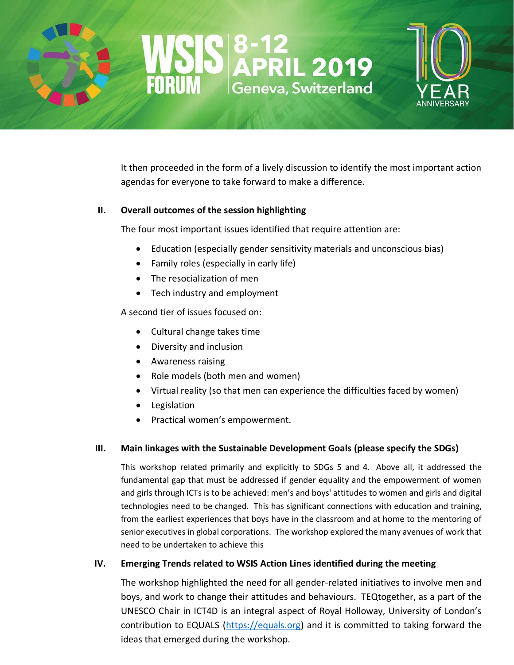

It then proceeded in the form of a lively discussion to identify the most important action agendas for everyone to take forward to make a difference.

#### **II. Overall outcomes of the session highlighting**

The four most important issues identified that require attention are:

- Education (especially gender sensitivity materials and unconscious bias)
- Family roles (especially in early life)
- The resocialization of men
- Tech industry and employment

A second tier of issues focused on:

- Cultural change takes time
- Diversity and inclusion
- Awareness raising
- Role models (both men and women)
- Virtual reality (so that men can experience the difficulties faced by women)
- **Legislation**
- Practical women's empowerment.

### **III. Main linkages with the Sustainable Development Goals (please specify the SDGs)**

This workshop related primarily and explicitly to SDGs 5 and 4. Above all, it addressed the fundamental gap that must be addressed if gender equality and the empowerment of women and girls through ICTs is to be achieved: men's and boys' attitudes to women and girls and digital technologies need to be changed. This has significant connections with education and training, from the earliest experiences that boys have in the classroom and at home to the mentoring of senior executives in global corporations. The workshop explored the many avenues of work that need to be undertaken to achieve this

### **IV. Emerging Trends related to WSIS Action Lines identified during the meeting**

The workshop highlighted the need for all gender-related initiatives to involve men and boys, and work to change their attitudes and behaviours. TEQtogether, as a part of the UNESCO Chair in ICT4D is an integral aspect of Royal Holloway, University of London's contribution to EQUALS [\(https://equals.org\)](https://equals.org/) and it is committed to taking forward the ideas that emerged during the workshop.